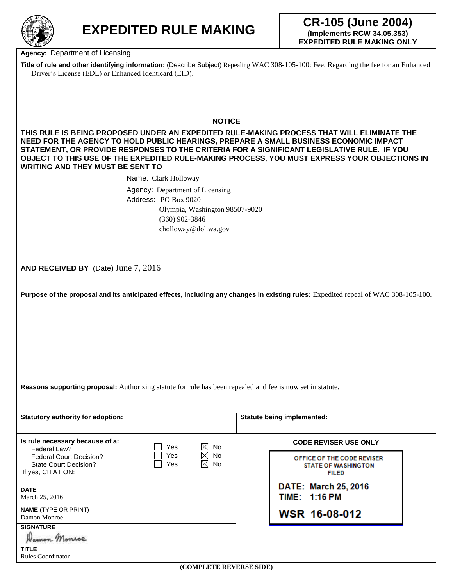

**Agency:** Department of Licensing

**Title of rule and other identifying information:** (Describe Subject) Repealing WAC 308-105-100: Fee. Regarding the fee for an Enhanced Driver's License (EDL) or Enhanced Identicard (EID).

## **NOTICE**

**THIS RULE IS BEING PROPOSED UNDER AN EXPEDITED RULE-MAKING PROCESS THAT WILL ELIMINATE THE NEED FOR THE AGENCY TO HOLD PUBLIC HEARINGS, PREPARE A SMALL BUSINESS ECONOMIC IMPACT STATEMENT, OR PROVIDE RESPONSES TO THE CRITERIA FOR A SIGNIFICANT LEGISLATIVE RULE. IF YOU OBJECT TO THIS USE OF THE EXPEDITED RULE-MAKING PROCESS, YOU MUST EXPRESS YOUR OBJECTIONS IN WRITING AND THEY MUST BE SENT TO** 

Name: Clark Holloway

Agency: Department of Licensing Address: PO Box 9020 Olympia, Washington 98507-9020 (360) 902-3846 cholloway@dol.wa.gov

**AND RECEIVED BY** (Date) June 7, 2016

**Purpose of the proposal and its anticipated effects, including any changes in existing rules: Expedited repeal of WAC 308-105-100.** 

**Reasons supporting proposal:** Authorizing statute for rule has been repealed and fee is now set in statute.

| <b>Statutory authority for adoption:</b>                                                                                                    | <b>Statute being implemented:</b>                                        |  |
|---------------------------------------------------------------------------------------------------------------------------------------------|--------------------------------------------------------------------------|--|
| Is rule necessary because of a:<br>$\boxtimes$<br>No<br>Yes<br>Federal Law?                                                                 | <b>CODE REVISER USE ONLY</b>                                             |  |
| $\boxtimes$<br>No<br>Yes<br><b>Federal Court Decision?</b><br>$\boxtimes$<br><b>No</b><br>Yes<br>State Court Decision?<br>If yes, CITATION: | OFFICE OF THE CODE REVISER<br><b>STATE OF WASHINGTON</b><br><b>FILED</b> |  |
| <b>DATE</b><br>March 25, 2016                                                                                                               | DATE: March 25, 2016<br><b>TIME: 1:16 PM</b>                             |  |
| <b>NAME</b> (TYPE OR PRINT)<br>Damon Monroe                                                                                                 | WSR 16-08-012                                                            |  |
| <b>SIGNATURE</b><br>Namon Monroe                                                                                                            |                                                                          |  |
| <b>TITLE</b><br><b>Rules Coordinator</b><br>$(CMM$ DI ETE DEVEDEE EIDEN                                                                     |                                                                          |  |